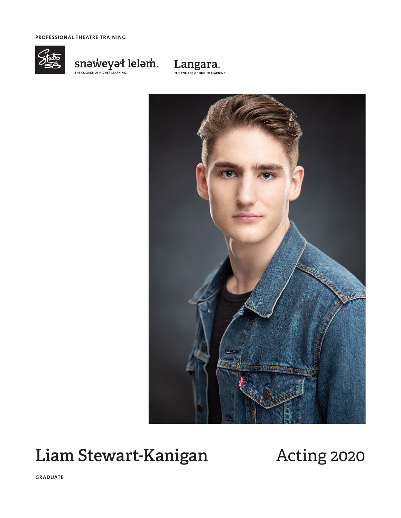**PROFESSIONAL THEATRE TRAINING**









# Liam Stewart-Kanigan Acting 2020

**GRADUATE**